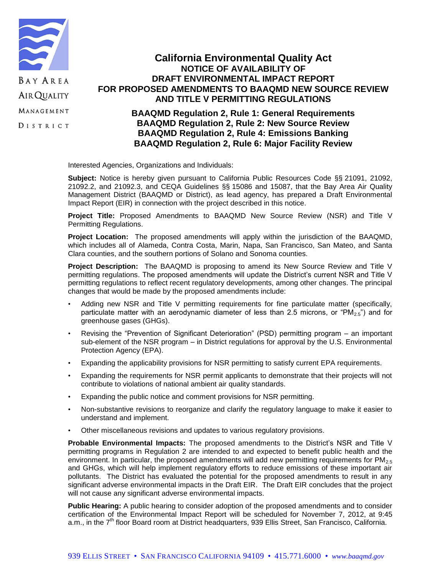

## **California Environmental Quality Act NOTICE OF AVAILABILITY OF DRAFT ENVIRONMENTAL IMPACT REPORT FOR PROPOSED AMENDMENTS TO BAAQMD NEW SOURCE REVIEW AND TITLE V PERMITTING REGULATIONS**

## **BAAQMD Regulation 2, Rule 1: General Requirements BAAQMD Regulation 2, Rule 2: New Source Review BAAQMD Regulation 2, Rule 4: Emissions Banking BAAQMD Regulation 2, Rule 6: Major Facility Review**

Interested Agencies, Organizations and Individuals:

**Subject:** Notice is hereby given pursuant to California Public Resources Code §§ 21091, 21092, 21092.2, and 21092.3, and CEQA Guidelines §§ 15086 and 15087, that the Bay Area Air Quality Management District (BAAQMD or District), as lead agency, has prepared a Draft Environmental Impact Report (EIR) in connection with the project described in this notice.

**Project Title:** Proposed Amendments to BAAQMD New Source Review (NSR) and Title V Permitting Regulations.

**Project Location:** The proposed amendments will apply within the jurisdiction of the BAAQMD, which includes all of Alameda, Contra Costa, Marin, Napa, San Francisco, San Mateo, and Santa Clara counties, and the southern portions of Solano and Sonoma counties.

**Project Description:** The BAAQMD is proposing to amend its New Source Review and Title V permitting regulations. The proposed amendments will update the District's current NSR and Title V permitting regulations to reflect recent regulatory developments, among other changes. The principal changes that would be made by the proposed amendments include:

- Adding new NSR and Title V permitting requirements for fine particulate matter (specifically, particulate matter with an aerodynamic diameter of less than 2.5 microns, or " $PM_{2.5}$ ") and for greenhouse gases (GHGs).
- Revising the "Prevention of Significant Deterioration" (PSD) permitting program an important sub-element of the NSR program – in District regulations for approval by the U.S. Environmental Protection Agency (EPA).
- Expanding the applicability provisions for NSR permitting to satisfy current EPA requirements.
- Expanding the requirements for NSR permit applicants to demonstrate that their projects will not contribute to violations of national ambient air quality standards.
- Expanding the public notice and comment provisions for NSR permitting.
- Non-substantive revisions to reorganize and clarify the regulatory language to make it easier to understand and implement.
- Other miscellaneous revisions and updates to various regulatory provisions.

**Probable Environmental Impacts:** The proposed amendments to the District's NSR and Title V permitting programs in Regulation 2 are intended to and expected to benefit public health and the environment. In particular, the proposed amendments will add new permitting requirements for  $PM_{2.5}$ and GHGs, which will help implement regulatory efforts to reduce emissions of these important air pollutants. The District has evaluated the potential for the proposed amendments to result in any significant adverse environmental impacts in the Draft EIR. The Draft EIR concludes that the project will not cause any significant adverse environmental impacts.

**Public Hearing:** A public hearing to consider adoption of the proposed amendments and to consider certification of the Environmental Impact Report will be scheduled for November 7, 2012, at 9:45 a.m., in the 7<sup>th</sup> floor Board room at District headquarters, 939 Ellis Street, San Francisco, California.